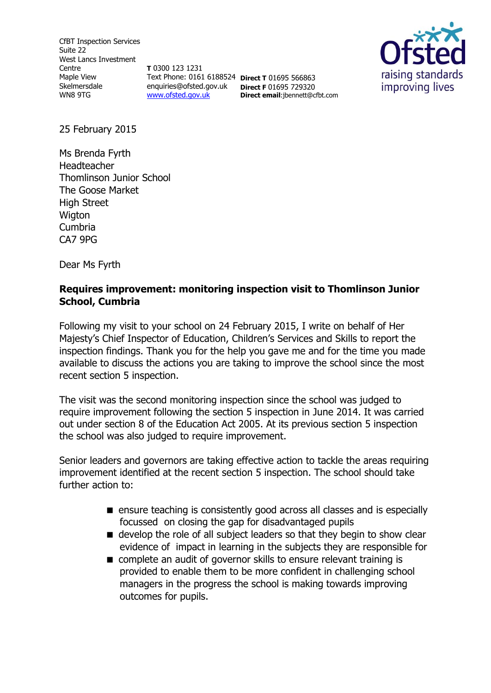CfBT Inspection Services Suite 22 West Lancs Investment Centre Maple View Skelmersdale WN8 9TG

**T** 0300 123 1231 Text Phone: 0161 6188524 **Direct T** 01695 566863 enquiries@ofsted.gov.uk **Direct F** 01695 729320 [www.ofsted.gov.uk](http://www.ofsted.gov.uk/)

**Direct email**:jbennett@cfbt.com



25 February 2015

Ms Brenda Fyrth Headteacher Thomlinson Junior School The Goose Market High Street **Wigton** Cumbria CA7 9PG

Dear Ms Fyrth

### **Requires improvement: monitoring inspection visit to Thomlinson Junior School, Cumbria**

Following my visit to your school on 24 February 2015, I write on behalf of Her Majesty's Chief Inspector of Education, Children's Services and Skills to report the inspection findings. Thank you for the help you gave me and for the time you made available to discuss the actions you are taking to improve the school since the most recent section 5 inspection.

The visit was the second monitoring inspection since the school was judged to require improvement following the section 5 inspection in June 2014. It was carried out under section 8 of the Education Act 2005. At its previous section 5 inspection the school was also judged to require improvement.

Senior leaders and governors are taking effective action to tackle the areas requiring improvement identified at the recent section 5 inspection. The school should take further action to:

- ensure teaching is consistently good across all classes and is especially focussed on closing the gap for disadvantaged pupils
- develop the role of all subject leaders so that they begin to show clear evidence of impact in learning in the subjects they are responsible for
- complete an audit of governor skills to ensure relevant training is provided to enable them to be more confident in challenging school managers in the progress the school is making towards improving outcomes for pupils.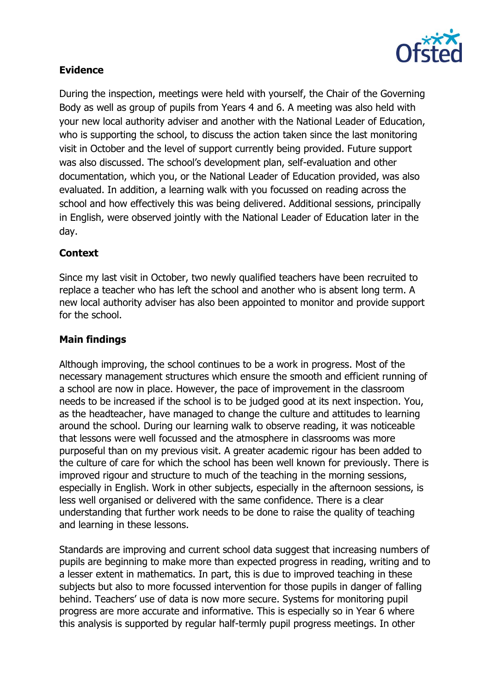

# **Evidence**

During the inspection, meetings were held with yourself, the Chair of the Governing Body as well as group of pupils from Years 4 and 6. A meeting was also held with your new local authority adviser and another with the National Leader of Education, who is supporting the school, to discuss the action taken since the last monitoring visit in October and the level of support currently being provided. Future support was also discussed. The school's development plan, self-evaluation and other documentation, which you, or the National Leader of Education provided, was also evaluated. In addition, a learning walk with you focussed on reading across the school and how effectively this was being delivered. Additional sessions, principally in English, were observed jointly with the National Leader of Education later in the day.

# **Context**

Since my last visit in October, two newly qualified teachers have been recruited to replace a teacher who has left the school and another who is absent long term. A new local authority adviser has also been appointed to monitor and provide support for the school.

#### **Main findings**

Although improving, the school continues to be a work in progress. Most of the necessary management structures which ensure the smooth and efficient running of a school are now in place. However, the pace of improvement in the classroom needs to be increased if the school is to be judged good at its next inspection. You, as the headteacher, have managed to change the culture and attitudes to learning around the school. During our learning walk to observe reading, it was noticeable that lessons were well focussed and the atmosphere in classrooms was more purposeful than on my previous visit. A greater academic rigour has been added to the culture of care for which the school has been well known for previously. There is improved rigour and structure to much of the teaching in the morning sessions, especially in English. Work in other subjects, especially in the afternoon sessions, is less well organised or delivered with the same confidence. There is a clear understanding that further work needs to be done to raise the quality of teaching and learning in these lessons.

Standards are improving and current school data suggest that increasing numbers of pupils are beginning to make more than expected progress in reading, writing and to a lesser extent in mathematics. In part, this is due to improved teaching in these subjects but also to more focussed intervention for those pupils in danger of falling behind. Teachers' use of data is now more secure. Systems for monitoring pupil progress are more accurate and informative. This is especially so in Year 6 where this analysis is supported by regular half-termly pupil progress meetings. In other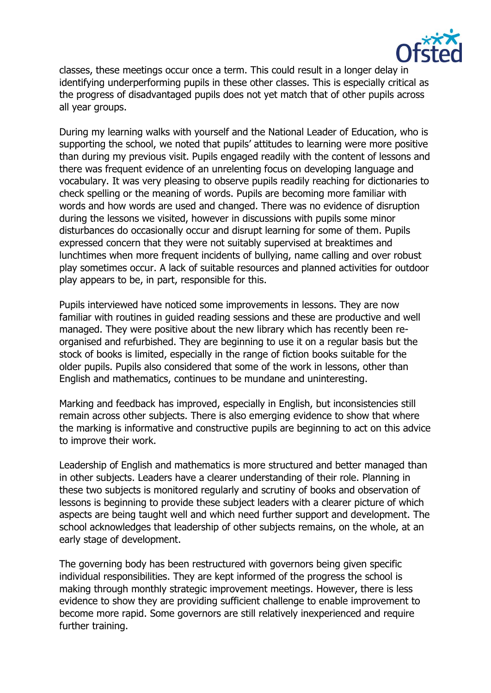

classes, these meetings occur once a term. This could result in a longer delay in identifying underperforming pupils in these other classes. This is especially critical as the progress of disadvantaged pupils does not yet match that of other pupils across all year groups.

During my learning walks with yourself and the National Leader of Education, who is supporting the school, we noted that pupils' attitudes to learning were more positive than during my previous visit. Pupils engaged readily with the content of lessons and there was frequent evidence of an unrelenting focus on developing language and vocabulary. It was very pleasing to observe pupils readily reaching for dictionaries to check spelling or the meaning of words. Pupils are becoming more familiar with words and how words are used and changed. There was no evidence of disruption during the lessons we visited, however in discussions with pupils some minor disturbances do occasionally occur and disrupt learning for some of them. Pupils expressed concern that they were not suitably supervised at breaktimes and lunchtimes when more frequent incidents of bullying, name calling and over robust play sometimes occur. A lack of suitable resources and planned activities for outdoor play appears to be, in part, responsible for this.

Pupils interviewed have noticed some improvements in lessons. They are now familiar with routines in guided reading sessions and these are productive and well managed. They were positive about the new library which has recently been reorganised and refurbished. They are beginning to use it on a regular basis but the stock of books is limited, especially in the range of fiction books suitable for the older pupils. Pupils also considered that some of the work in lessons, other than English and mathematics, continues to be mundane and uninteresting.

Marking and feedback has improved, especially in English, but inconsistencies still remain across other subjects. There is also emerging evidence to show that where the marking is informative and constructive pupils are beginning to act on this advice to improve their work.

Leadership of English and mathematics is more structured and better managed than in other subjects. Leaders have a clearer understanding of their role. Planning in these two subjects is monitored regularly and scrutiny of books and observation of lessons is beginning to provide these subject leaders with a clearer picture of which aspects are being taught well and which need further support and development. The school acknowledges that leadership of other subjects remains, on the whole, at an early stage of development.

The governing body has been restructured with governors being given specific individual responsibilities. They are kept informed of the progress the school is making through monthly strategic improvement meetings. However, there is less evidence to show they are providing sufficient challenge to enable improvement to become more rapid. Some governors are still relatively inexperienced and require further training.